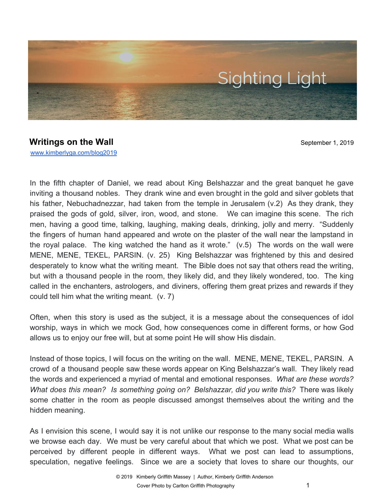

## **Writings on the Wall** September 1, 2019 [www.kimberlyga.com/blog2019](http://www.kimberlyga.com/blog)

In the fifth chapter of Daniel, we read about King Belshazzar and the great banquet he gave inviting a thousand nobles. They drank wine and even brought in the gold and silver goblets that his father, Nebuchadnezzar, had taken from the temple in Jerusalem (v.2) As they drank, they praised the gods of gold, silver, iron, wood, and stone. We can imagine this scene. The rich men, having a good time, talking, laughing, making deals, drinking, jolly and merry. "Suddenly the fingers of human hand appeared and wrote on the plaster of the wall near the lampstand in the royal palace. The king watched the hand as it wrote." (v.5) The words on the wall were MENE, MENE, TEKEL, PARSIN. (v. 25) King Belshazzar was frightened by this and desired desperately to know what the writing meant. The Bible does not say that others read the writing, but with a thousand people in the room, they likely did, and they likely wondered, too. The king called in the enchanters, astrologers, and diviners, offering them great prizes and rewards if they could tell him what the writing meant. (v. 7)

Often, when this story is used as the subject, it is a message about the consequences of idol worship, ways in which we mock God, how consequences come in different forms, or how God allows us to enjoy our free will, but at some point He will show His disdain.

Instead of those topics, I will focus on the writing on the wall. MENE, MENE, TEKEL, PARSIN. A crowd of a thousand people saw these words appear on King Belshazzar's wall. They likely read the words and experienced a myriad of mental and emotional responses. *What are these words? What does this mean? Is something going on? Belshazzar, did you write this?* There was likely some chatter in the room as people discussed amongst themselves about the writing and the hidden meaning.

As I envision this scene, I would say it is not unlike our response to the many social media walls we browse each day. We must be very careful about that which we post. What we post can be perceived by different people in different ways. What we post can lead to assumptions, speculation, negative feelings. Since we are a society that loves to share our thoughts, our